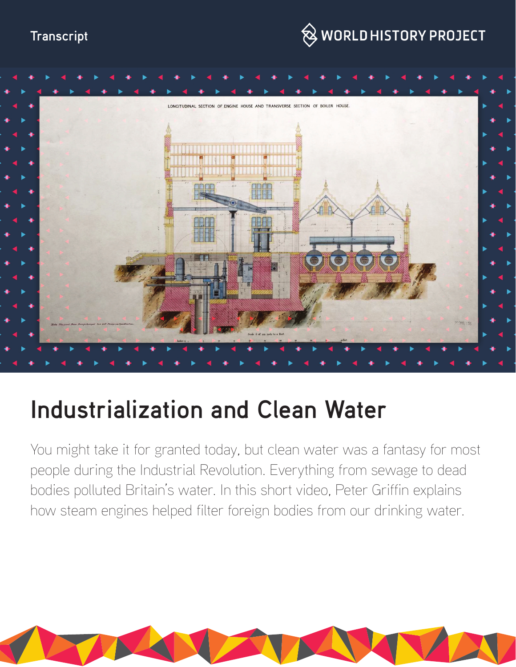



# **Industrialization and Clean Water**

You might take it for granted today, but clean water was a fantasy for most people during the Industrial Revolution. Everything from sewage to dead bodies polluted Britain's water. In this short video, Peter Griffin explains how steam engines helped filter foreign bodies from our drinking water.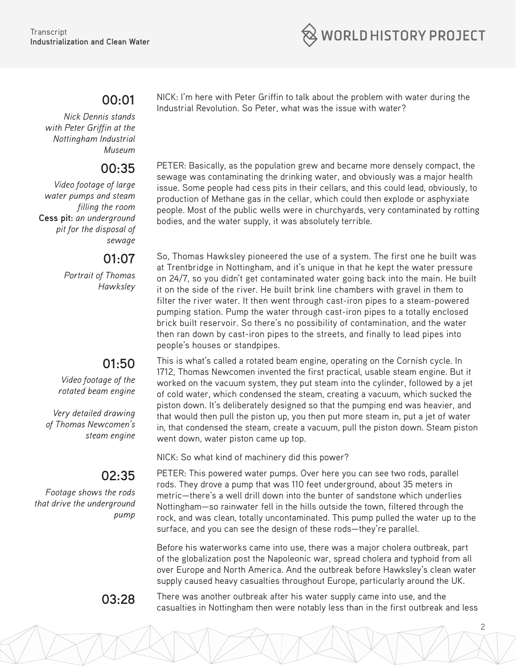

### **00:01**

*Nick Dennis stands with Peter Griffin at the Nottingham Industrial Museum*

#### **00:35**

*Video footage of large water pumps and steam filling the room* **Cess pit:** *an underground pit for the disposal of sewage*

### **01:07**

*Portrait of Thomas Hawksley*

## **01:50**

*Video footage of the rotated beam engine*

*Very detailed drawing of Thomas Newcomen's steam engine*

# **02:35**

*Footage shows the rods that drive the underground pump* 

NICK: I'm here with Peter Griffin to talk about the problem with water during the Industrial Revolution. So Peter, what was the issue with water?

PETER: Basically, as the population grew and became more densely compact, the sewage was contaminating the drinking water, and obviously was a major health issue. Some people had cess pits in their cellars, and this could lead, obviously, to production of Methane gas in the cellar, which could then explode or asphyxiate people. Most of the public wells were in churchyards, very contaminated by rotting bodies, and the water supply, it was absolutely terrible.

So, Thomas Hawksley pioneered the use of a system. The first one he built was at Trentbridge in Nottingham, and it's unique in that he kept the water pressure on 24/7, so you didn't get contaminated water going back into the main. He built it on the side of the river. He built brink line chambers with gravel in them to filter the river water. It then went through cast-iron pipes to a steam-powered pumping station. Pump the water through cast-iron pipes to a totally enclosed brick built reservoir. So there's no possibility of contamination, and the water then ran down by cast-iron pipes to the streets, and finally to lead pipes into people's houses or standpipes.

This is what's called a rotated beam engine, operating on the Cornish cycle. In 1712, Thomas Newcomen invented the first practical, usable steam engine. But it worked on the vacuum system, they put steam into the cylinder, followed by a jet of cold water, which condensed the steam, creating a vacuum, which sucked the piston down. It's deliberately designed so that the pumping end was heavier, and that would then pull the piston up, you then put more steam in, put a jet of water in, that condensed the steam, create a vacuum, pull the piston down. Steam piston went down, water piston came up top.

NICK: So what kind of machinery did this power?

PETER: This powered water pumps. Over here you can see two rods, parallel rods. They drove a pump that was 110 feet underground, about 35 meters in metric—there's a well drill down into the bunter of sandstone which underlies Nottingham—so rainwater fell in the hills outside the town, filtered through the rock, and was clean, totally uncontaminated. This pump pulled the water up to the surface, and you can see the design of these rods—they're parallel.

Before his waterworks came into use, there was a major cholera outbreak, part of the globalization post the Napoleonic war, spread cholera and typhoid from all over Europe and North America. And the outbreak before Hawksley's clean water supply caused heavy casualties throughout Europe, particularly around the UK.

**03:28** There was another outbreak after his water supply came into use, and the casualties in Nottingham then were notably less than in the first outbreak and less

2